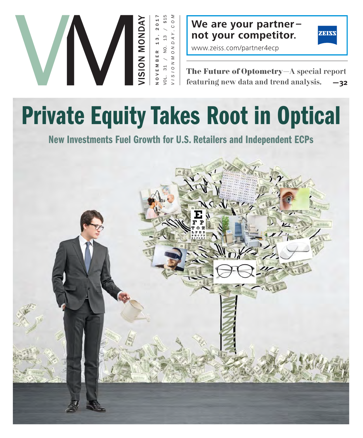

**We are your partner – not your competitor.**



www.zeiss.com/partner4ecp

**The Future of Optometry**—A special report featuring new data and trend analysis. **—32**

**New Investments Fuel Growth for U.S. Retailers and Independent ECPs**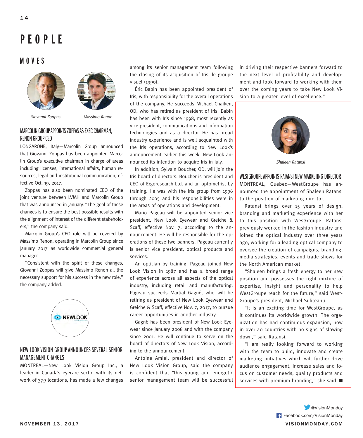# **PEOPLE**

### **MOVES**





Giovanni Zoppas Massimo Renon

#### MARCOLIN GROUP APPOINTS ZOPPAS AS EXEC CHAIRMAN, RENON GROUP CEO

LONGARONE, Italy—Marcolin Group announced that Giovanni Zoppas has been appointed Marcolin Group's executive chairman in charge of areas including licenses, international affairs, human resources, legal and institutional communication, effective Oct. 19, 2017.

Zoppas has also been nominated CEO of the joint venture between LVMH and Marcolin Group that was announced in January. "The goal of these changes is to ensure the best possible results with the alignment of interest of the different stakeholders," the company said.

Marcolin Group's CEO role will be covered by Massimo Renon, operating in Marcolin Group since January 2017 as worldwide commercial general manager.

"Consistent with the spirit of these changes, Giovanni Zoppas will give Massimo Renon all the necessary support for his success in the new role," the company added.



#### NEW LOOK VISION GROUP ANNOUNCES SEVERAL SENIOR MANAGEMENT CHANGES

MONTREAL—New Look Vision Group Inc., a leader in Canada's eyecare sector with its network of 379 locations, has made a few changes

among its senior management team following the closing of its acquisition of Iris, le groupe visuel (1990).

Éric Babin has been appointed president of Iris, with responsibility for the overall operations of the company. He succeeds Michael Chaiken, OD, who has retired as president of Iris. Babin has been with Iris since 1998, most recently as vice president, communications and information technologies and as a director. He has broad industry experience and is well acquainted with the Iris operations, according to New Look's announcement earlier this week. New Look announced its intention to acquire Iris in July.

In addition, Sylvain Boucher, OD, will join the Iris board of directors. Boucher is president and CEO of Ergoresearch Ltd. and an optometrist by training. He was with the Iris group from 1996 through 2005 and his responsibilities were in the areas of operations and development.

Mario Pageau will be appointed senior vice president, New Look Eyewear and Greiche & Scaff, effective Nov. 7, according to the announcement. He will be responsible for the operations of these two banners. Pageau currently is senior vice president, optical products and services.

An optician by training, Pageau joined New Look Vision in 1987 and has a broad range of experience across all aspects of the optical industry, including retail and manufacturing. Pageau succeeds Martial Gagné, who will be retiring as president of New Look Eyewear and Greiche & Scaff, effective Nov. 7, 2017, to pursue career opportunities in another industry.

Gagné has been president of New Look Eyewear since January 2008 and with the company since 2001. He will continue to serve on the board of directors of New Look Vision, according to the announcement.

Antoine Amiel, president and director of New Look Vision Group, said the company is confident that "this young and energetic senior management team will be successful in driving their respective banners forward to the next level of profitability and development and look forward to working with them over the coming years to take New Look Vision to a greater level of excellence."



Shaleen Ratansi

WESTGROUPE APPOINTS RATANSI NEW MARKETING DIRECTOR MONTREAL, Quebec—WestGroupe has announced the appointment of Shaleen Ratansi to the position of marketing director.

Ratansi brings over 15 years of design, branding and marketing experience with her to this position with WestGroupe. Ratansi previously worked in the fashion industry and joined the optical industry over three years ago, working for a leading optical company to oversee the creation of campaigns, branding, media strategies, events and trade shows for the North American market.

"Shaleen brings a fresh energy to her new position and possesses the right mixture of expertise, insight and personality to help WestGroupe reach for the future," said West-Groupe's president, Michael Suliteanu.

"It is an exciting time for WestGroupe, as it continues its worldwide growth. The organization has had continuous expansion, now in over 40 countries with no signs of slowing down," said Ratansi.

"I am really looking forward to working with the team to build, innovate and create marketing initiatives which will further drive audience engagement, increase sales and focus on customer needs, quality products and services with premium branding," she said. ■

NOVEMBER 13, 2017 VISIONMONDAY.COM Facebook.com/VisionMonday **W**eVisionMonday